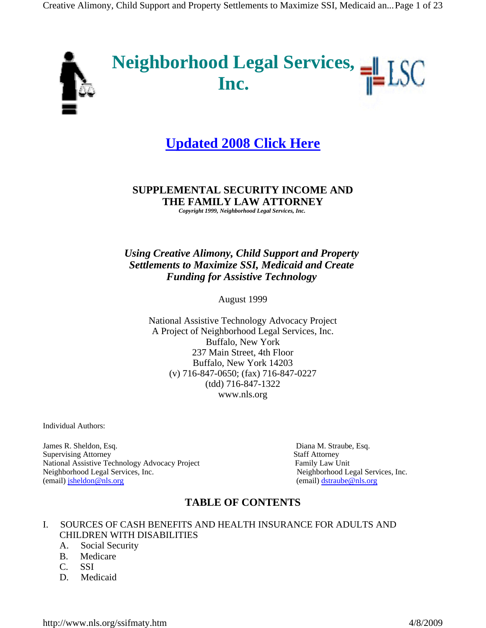

# **Updated 2008 Click Here**

#### **SUPPLEMENTAL SECURITY INCOME AND THE FAMILY LAW ATTORNEY**  *Copyright 1999, Neighborhood Legal Services, Inc.*

# *Using Creative Alimony, Child Support and Property Settlements to Maximize SSI, Medicaid and Create Funding for Assistive Technology*

August 1999

National Assistive Technology Advocacy Project A Project of Neighborhood Legal Services, Inc. Buffalo, New York 237 Main Street, 4th Floor Buffalo, New York 14203 (v) 716-847-0650; (fax) 716-847-0227 (tdd) 716-847-1322 www.nls.org

Individual Authors:

James R. Sheldon, Esq. Diana M. Straube, Esq. Supervising Attorney Staff Attorney National Assistive Technology Advocacy Project Family Law Unit Neighborhood Legal Services, Inc. Neighborhood Legal Services, Inc. (email) jsheldon@nls.org (email) dstraube@nls.org

# **TABLE OF CONTENTS**

#### I. SOURCES OF CASH BENEFITS AND HEALTH INSURANCE FOR ADULTS AND CHILDREN WITH DISABILITIES

- A. Social Security
- B. Medicare
- C. SSI
- D. Medicaid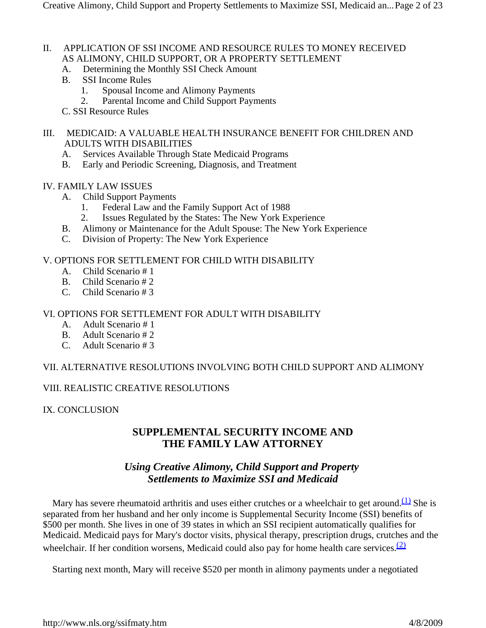- II. APPLICATION OF SSI INCOME AND RESOURCE RULES TO MONEY RECEIVED AS ALIMONY, CHILD SUPPORT, OR A PROPERTY SETTLEMENT
	- A. Determining the Monthly SSI Check Amount
	- B. SSI Income Rules
		- 1. Spousal Income and Alimony Payments
		- 2. Parental Income and Child Support Payments
	- C. SSI Resource Rules

#### III. MEDICAID: A VALUABLE HEALTH INSURANCE BENEFIT FOR CHILDREN AND ADULTS WITH DISABILITIES

- A. Services Available Through State Medicaid Programs
- B. Early and Periodic Screening, Diagnosis, and Treatment

#### IV. FAMILY LAW ISSUES

- A. Child Support Payments
	- 1. Federal Law and the Family Support Act of 1988
	- 2. Issues Regulated by the States: The New York Experience
- B. Alimony or Maintenance for the Adult Spouse: The New York Experience
- C. Division of Property: The New York Experience

#### V. OPTIONS FOR SETTLEMENT FOR CHILD WITH DISABILITY

- A. Child Scenario # 1
- B. Child Scenario # 2
- C. Child Scenario # 3

#### VI. OPTIONS FOR SETTLEMENT FOR ADULT WITH DISABILITY

- A. Adult Scenario # 1
- B. Adult Scenario # 2
- C. Adult Scenario # 3

# VII. ALTERNATIVE RESOLUTIONS INVOLVING BOTH CHILD SUPPORT AND ALIMONY

#### VIII. REALISTIC CREATIVE RESOLUTIONS

IX. CONCLUSION

# **SUPPLEMENTAL SECURITY INCOME AND THE FAMILY LAW ATTORNEY**

# *Using Creative Alimony, Child Support and Property Settlements to Maximize SSI and Medicaid*

Mary has severe rheumatoid arthritis and uses either crutches or a wheelchair to get around.<sup>(1)</sup> She is separated from her husband and her only income is Supplemental Security Income (SSI) benefits of \$500 per month. She lives in one of 39 states in which an SSI recipient automatically qualifies for Medicaid. Medicaid pays for Mary's doctor visits, physical therapy, prescription drugs, crutches and the wheelchair. If her condition worsens, Medicaid could also pay for home health care services. $\frac{2}{2}$ 

Starting next month, Mary will receive \$520 per month in alimony payments under a negotiated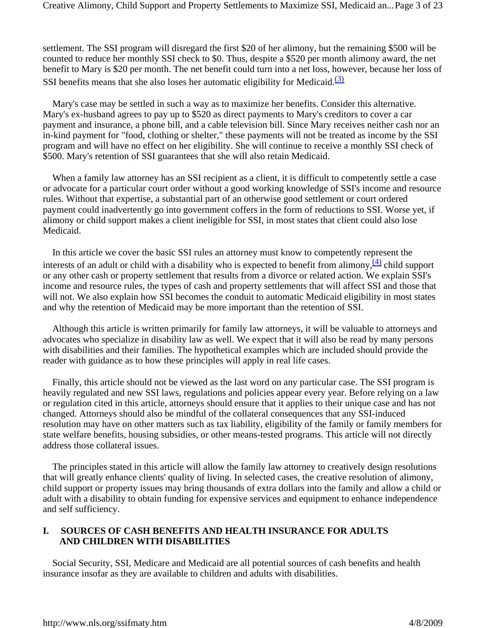settlement. The SSI program will disregard the first \$20 of her alimony, but the remaining \$500 will be counted to reduce her monthly SSI check to \$0. Thus, despite a \$520 per month alimony award, the net benefit to Mary is \$20 per month. The net benefit could turn into a net loss, however, because her loss of SSI benefits means that she also loses her automatic eligibility for Medicaid. $\frac{(3)}{2}$ 

 Mary's case may be settled in such a way as to maximize her benefits. Consider this alternative. Mary's ex-husband agrees to pay up to \$520 as direct payments to Mary's creditors to cover a car payment and insurance, a phone bill, and a cable television bill. Since Mary receives neither cash nor an in-kind payment for "food, clothing or shelter," these payments will not be treated as income by the SSI program and will have no effect on her eligibility. She will continue to receive a monthly SSI check of \$500. Mary's retention of SSI guarantees that she will also retain Medicaid.

When a family law attorney has an SSI recipient as a client, it is difficult to competently settle a case or advocate for a particular court order without a good working knowledge of SSI's income and resource rules. Without that expertise, a substantial part of an otherwise good settlement or court ordered payment could inadvertently go into government coffers in the form of reductions to SSI. Worse yet, if alimony or child support makes a client ineligible for SSI, in most states that client could also lose Medicaid.

 In this article we cover the basic SSI rules an attorney must know to competently represent the interests of an adult or child with a disability who is expected to benefit from alimony,  $\frac{4}{4}$  child support or any other cash or property settlement that results from a divorce or related action. We explain SSI's income and resource rules, the types of cash and property settlements that will affect SSI and those that will not. We also explain how SSI becomes the conduit to automatic Medicaid eligibility in most states and why the retention of Medicaid may be more important than the retention of SSI.

 Although this article is written primarily for family law attorneys, it will be valuable to attorneys and advocates who specialize in disability law as well. We expect that it will also be read by many persons with disabilities and their families. The hypothetical examples which are included should provide the reader with guidance as to how these principles will apply in real life cases.

 Finally, this article should not be viewed as the last word on any particular case. The SSI program is heavily regulated and new SSI laws, regulations and policies appear every year. Before relying on a law or regulation cited in this article, attorneys should ensure that it applies to their unique case and has not changed. Attorneys should also be mindful of the collateral consequences that any SSI-induced resolution may have on other matters such as tax liability, eligibility of the family or family members for state welfare benefits, housing subsidies, or other means-tested programs. This article will not directly address those collateral issues.

 The principles stated in this article will allow the family law attorney to creatively design resolutions that will greatly enhance clients' quality of living. In selected cases, the creative resolution of alimony, child support or property issues may bring thousands of extra dollars into the family and allow a child or adult with a disability to obtain funding for expensive services and equipment to enhance independence and self sufficiency.

#### **I. SOURCES OF CASH BENEFITS AND HEALTH INSURANCE FOR ADULTS AND CHILDREN WITH DISABILITIES**

 Social Security, SSI, Medicare and Medicaid are all potential sources of cash benefits and health insurance insofar as they are available to children and adults with disabilities.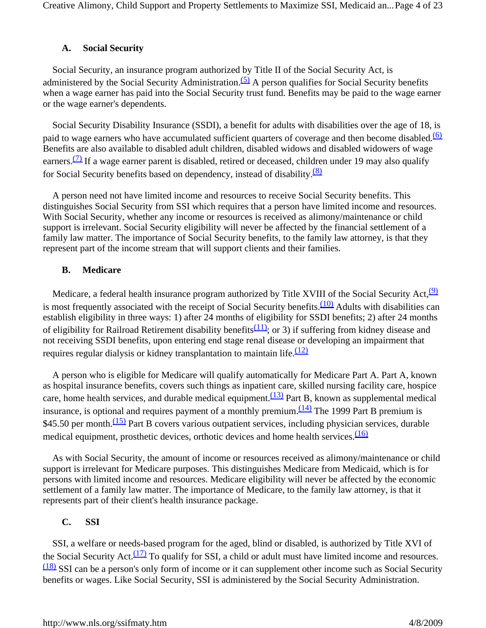#### **A. Social Security**

 Social Security, an insurance program authorized by Title II of the Social Security Act, is administered by the Social Security Administration.<sup>(5)</sup> A person qualifies for Social Security benefits when a wage earner has paid into the Social Security trust fund. Benefits may be paid to the wage earner or the wage earner's dependents.

 Social Security Disability Insurance (SSDI), a benefit for adults with disabilities over the age of 18, is paid to wage earners who have accumulated sufficient quarters of coverage and then become disabled.<sup>(6)</sup> Benefits are also available to disabled adult children, disabled widows and disabled widowers of wage earners. $\frac{1}{2}$  If a wage earner parent is disabled, retired or deceased, children under 19 may also qualify for Social Security benefits based on dependency, instead of disability. $\frac{(8)}{8}$ 

 A person need not have limited income and resources to receive Social Security benefits. This distinguishes Social Security from SSI which requires that a person have limited income and resources. With Social Security, whether any income or resources is received as alimony/maintenance or child support is irrelevant. Social Security eligibility will never be affected by the financial settlement of a family law matter. The importance of Social Security benefits, to the family law attorney, is that they represent part of the income stream that will support clients and their families.

# **B. Medicare**

Medicare, a federal health insurance program authorized by Title XVIII of the Social Security Act,  $\frac{(9)}{2}$ is most frequently associated with the receipt of Social Security benefits. $(10)$  Adults with disabilities can establish eligibility in three ways: 1) after 24 months of eligibility for SSDI benefits; 2) after 24 months of eligibility for Railroad Retirement disability benefits $(11)$ ; or 3) if suffering from kidney disease and not receiving SSDI benefits, upon entering end stage renal disease or developing an impairment that requires regular dialysis or kidney transplantation to maintain life. $\frac{(12)}{2}$ 

 A person who is eligible for Medicare will qualify automatically for Medicare Part A. Part A, known as hospital insurance benefits, covers such things as inpatient care, skilled nursing facility care, hospice care, home health services, and durable medical equipment. $\frac{(13)}{2}$  Part B, known as supplemental medical insurance, is optional and requires payment of a monthly premium.  $(14)$  The 1999 Part B premium is \$45.50 per month. $\frac{(15)}{2}$  Part B covers various outpatient services, including physician services, durable medical equipment, prosthetic devices, orthotic devices and home health services.<sup>(16)</sup>

 As with Social Security, the amount of income or resources received as alimony/maintenance or child support is irrelevant for Medicare purposes. This distinguishes Medicare from Medicaid, which is for persons with limited income and resources. Medicare eligibility will never be affected by the economic settlement of a family law matter. The importance of Medicare, to the family law attorney, is that it represents part of their client's health insurance package.

# **C. SSI**

 SSI, a welfare or needs-based program for the aged, blind or disabled, is authorized by Title XVI of the Social Security Act. $(17)$  To qualify for SSI, a child or adult must have limited income and resources.  $\frac{(18)}{(18)}$  SSI can be a person's only form of income or it can supplement other income such as Social Security benefits or wages. Like Social Security, SSI is administered by the Social Security Administration.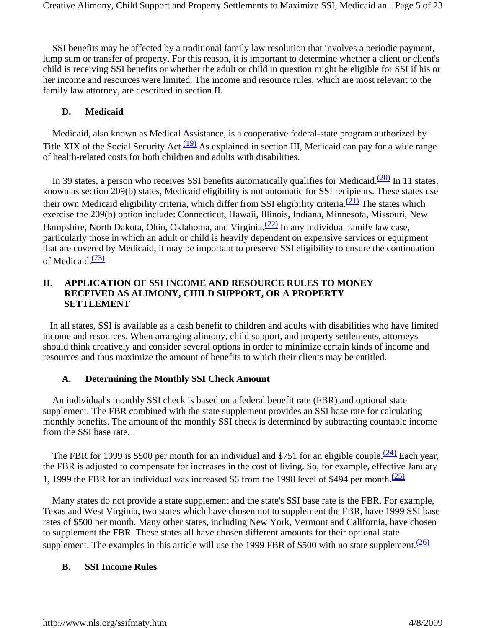SSI benefits may be affected by a traditional family law resolution that involves a periodic payment, lump sum or transfer of property. For this reason, it is important to determine whether a client or client's child is receiving SSI benefits or whether the adult or child in question might be eligible for SSI if his or her income and resources were limited. The income and resource rules, which are most relevant to the family law attorney, are described in section II.

#### **D. Medicaid**

 Medicaid, also known as Medical Assistance, is a cooperative federal-state program authorized by Title XIX of the Social Security Act.<sup>(19)</sup> As explained in section III, Medicaid can pay for a wide range of health-related costs for both children and adults with disabilities.

In 39 states, a person who receives SSI benefits automatically qualifies for Medicaid. $(20)$  In 11 states, known as section 209(b) states, Medicaid eligibility is not automatic for SSI recipients. These states use their own Medicaid eligibility criteria, which differ from SSI eligibility criteria. $(21)$  The states which exercise the 209(b) option include: Connecticut, Hawaii, Illinois, Indiana, Minnesota, Missouri, New Hampshire, North Dakota, Ohio, Oklahoma, and Virginia. $\frac{(22)}{22}$  In any individual family law case, particularly those in which an adult or child is heavily dependent on expensive services or equipment that are covered by Medicaid, it may be important to preserve SSI eligibility to ensure the continuation of Medicaid. $\frac{(23)}{2}$ 

#### **II. APPLICATION OF SSI INCOME AND RESOURCE RULES TO MONEY RECEIVED AS ALIMONY, CHILD SUPPORT, OR A PROPERTY SETTLEMENT**

 In all states, SSI is available as a cash benefit to children and adults with disabilities who have limited income and resources. When arranging alimony, child support, and property settlements, attorneys should think creatively and consider several options in order to minimize certain kinds of income and resources and thus maximize the amount of benefits to which their clients may be entitled.

# **A. Determining the Monthly SSI Check Amount**

 An individual's monthly SSI check is based on a federal benefit rate (FBR) and optional state supplement. The FBR combined with the state supplement provides an SSI base rate for calculating monthly benefits. The amount of the monthly SSI check is determined by subtracting countable income from the SSI base rate.

The FBR for 1999 is \$500 per month for an individual and \$751 for an eligible couple.<sup>(24)</sup> Each year, the FBR is adjusted to compensate for increases in the cost of living. So, for example, effective January 1, 1999 the FBR for an individual was increased \$6 from the 1998 level of \$494 per month. $\frac{(25)}{25}$ 

 Many states do not provide a state supplement and the state's SSI base rate is the FBR. For example, Texas and West Virginia, two states which have chosen not to supplement the FBR, have 1999 SSI base rates of \$500 per month. Many other states, including New York, Vermont and California, have chosen to supplement the FBR. These states all have chosen different amounts for their optional state supplement. The examples in this article will use the 1999 FBR of \$500 with no state supplement.  $\frac{(26)}{26}$ 

# **B. SSI Income Rules**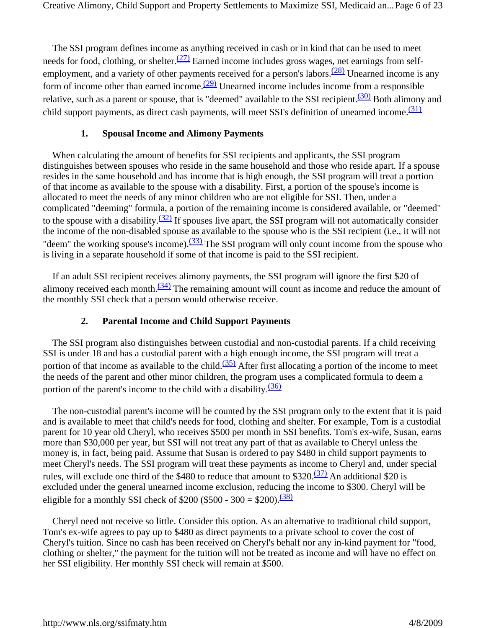The SSI program defines income as anything received in cash or in kind that can be used to meet needs for food, clothing, or shelter. $\frac{(27)}{27}$  Earned income includes gross wages, net earnings from selfemployment, and a variety of other payments received for a person's labors.<sup>(28)</sup> Unearned income is any form of income other than earned income. $\frac{(29)}{(29)}$  Unearned income includes income from a responsible relative, such as a parent or spouse, that is "deemed" available to the SSI recipient.<sup>(30)</sup> Both alimony and child support payments, as direct cash payments, will meet SSI's definition of unearned income. $\frac{(31)}{21}$ 

#### **1. Spousal Income and Alimony Payments**

 When calculating the amount of benefits for SSI recipients and applicants, the SSI program distinguishes between spouses who reside in the same household and those who reside apart. If a spouse resides in the same household and has income that is high enough, the SSI program will treat a portion of that income as available to the spouse with a disability. First, a portion of the spouse's income is allocated to meet the needs of any minor children who are not eligible for SSI. Then, under a complicated "deeming" formula, a portion of the remaining income is considered available, or "deemed" to the spouse with a disability.<sup>(32)</sup> If spouses live apart, the SSI program will not automatically consider the income of the non-disabled spouse as available to the spouse who is the SSI recipient (i.e., it will not "deem" the working spouse's income). $\frac{(33)}{2}$  The SSI program will only count income from the spouse who is living in a separate household if some of that income is paid to the SSI recipient.

 If an adult SSI recipient receives alimony payments, the SSI program will ignore the first \$20 of alimony received each month. $\frac{(34)}{2}$  The remaining amount will count as income and reduce the amount of the monthly SSI check that a person would otherwise receive.

#### **2. Parental Income and Child Support Payments**

 The SSI program also distinguishes between custodial and non-custodial parents. If a child receiving SSI is under 18 and has a custodial parent with a high enough income, the SSI program will treat a portion of that income as available to the child. $\frac{(35)}{(35)}$  After first allocating a portion of the income to meet the needs of the parent and other minor children, the program uses a complicated formula to deem a portion of the parent's income to the child with a disability. $\frac{(36)}{26}$ 

 The non-custodial parent's income will be counted by the SSI program only to the extent that it is paid and is available to meet that child's needs for food, clothing and shelter. For example, Tom is a custodial parent for 10 year old Cheryl, who receives \$500 per month in SSI benefits. Tom's ex-wife, Susan, earns more than \$30,000 per year, but SSI will not treat any part of that as available to Cheryl unless the money is, in fact, being paid. Assume that Susan is ordered to pay \$480 in child support payments to meet Cheryl's needs. The SSI program will treat these payments as income to Cheryl and, under special rules, will exclude one third of the \$480 to reduce that amount to \$320.(37) An additional \$20 is excluded under the general unearned income exclusion, reducing the income to \$300. Cheryl will be eligible for a monthly SSI check of  $$200 ($500 - 300 = $200)$ .<sup>(38)</sup>

 Cheryl need not receive so little. Consider this option. As an alternative to traditional child support, Tom's ex-wife agrees to pay up to \$480 as direct payments to a private school to cover the cost of Cheryl's tuition. Since no cash has been received on Cheryl's behalf nor any in-kind payment for "food, clothing or shelter," the payment for the tuition will not be treated as income and will have no effect on her SSI eligibility. Her monthly SSI check will remain at \$500.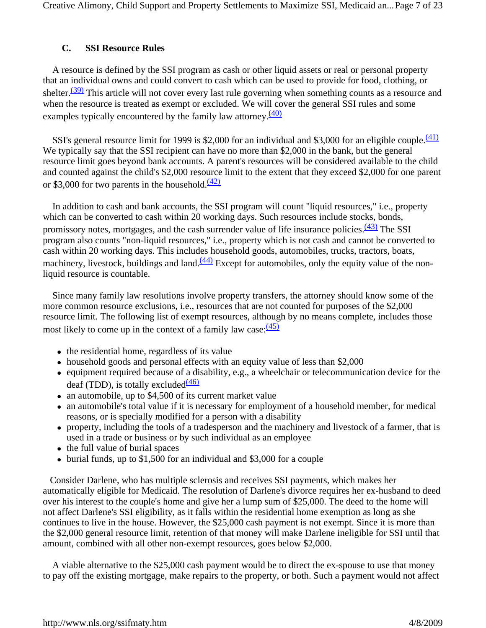Creative Alimony, Child Support and Property Settlements to Maximize SSI, Medicaid an...Page 7 of 23

# **C. SSI Resource Rules**

 A resource is defined by the SSI program as cash or other liquid assets or real or personal property that an individual owns and could convert to cash which can be used to provide for food, clothing, or shelter.<sup> $(39)$ </sup> This article will not cover every last rule governing when something counts as a resource and when the resource is treated as exempt or excluded. We will cover the general SSI rules and some examples typically encountered by the family law attorney. $\frac{(40)}{60}$ 

SSI's general resource limit for 1999 is \$2,000 for an individual and \$3,000 for an eligible couple.<sup>(41)</sup> We typically say that the SSI recipient can have no more than \$2,000 in the bank, but the general resource limit goes beyond bank accounts. A parent's resources will be considered available to the child and counted against the child's \$2,000 resource limit to the extent that they exceed \$2,000 for one parent or \$3,000 for two parents in the household. $\frac{(42)}{2}$ 

 In addition to cash and bank accounts, the SSI program will count "liquid resources," i.e., property which can be converted to cash within 20 working days. Such resources include stocks, bonds, promissory notes, mortgages, and the cash surrender value of life insurance policies.<sup>(43)</sup> The SSI program also counts "non-liquid resources," i.e., property which is not cash and cannot be converted to cash within 20 working days. This includes household goods, automobiles, trucks, tractors, boats, machinery, livestock, buildings and land. $\frac{(44)}{2}$  Except for automobiles, only the equity value of the nonliquid resource is countable.

 Since many family law resolutions involve property transfers, the attorney should know some of the more common resource exclusions, i.e., resources that are not counted for purposes of the \$2,000 resource limit. The following list of exempt resources, although by no means complete, includes those most likely to come up in the context of a family law case: $\frac{(45)}{2}$ 

- $\bullet$  the residential home, regardless of its value
- household goods and personal effects with an equity value of less than \$2,000
- equipment required because of a disability, e.g., a wheelchair or telecommunication device for the deaf (TDD), is totally excluded $\frac{(46)}{4}$
- an automobile, up to \$4,500 of its current market value
- an automobile's total value if it is necessary for employment of a household member, for medical reasons, or is specially modified for a person with a disability
- property, including the tools of a tradesperson and the machinery and livestock of a farmer, that is used in a trade or business or by such individual as an employee
- the full value of burial spaces
- $\bullet$  burial funds, up to \$1,500 for an individual and \$3,000 for a couple

 Consider Darlene, who has multiple sclerosis and receives SSI payments, which makes her automatically eligible for Medicaid. The resolution of Darlene's divorce requires her ex-husband to deed over his interest to the couple's home and give her a lump sum of \$25,000. The deed to the home will not affect Darlene's SSI eligibility, as it falls within the residential home exemption as long as she continues to live in the house. However, the \$25,000 cash payment is not exempt. Since it is more than the \$2,000 general resource limit, retention of that money will make Darlene ineligible for SSI until that amount, combined with all other non-exempt resources, goes below \$2,000.

 A viable alternative to the \$25,000 cash payment would be to direct the ex-spouse to use that money to pay off the existing mortgage, make repairs to the property, or both. Such a payment would not affect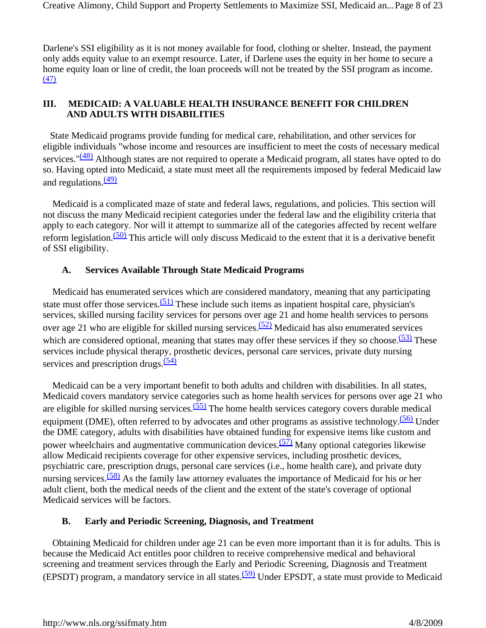Darlene's SSI eligibility as it is not money available for food, clothing or shelter. Instead, the payment only adds equity value to an exempt resource. Later, if Darlene uses the equity in her home to secure a home equity loan or line of credit, the loan proceeds will not be treated by the SSI program as income. (47)

#### **III. MEDICAID: A VALUABLE HEALTH INSURANCE BENEFIT FOR CHILDREN AND ADULTS WITH DISABILITIES**

 State Medicaid programs provide funding for medical care, rehabilitation, and other services for eligible individuals "whose income and resources are insufficient to meet the costs of necessary medical services." $\frac{(48)}{48}$  Although states are not required to operate a Medicaid program, all states have opted to do so. Having opted into Medicaid, a state must meet all the requirements imposed by federal Medicaid law and regulations. $\frac{(49)}{9}$ 

 Medicaid is a complicated maze of state and federal laws, regulations, and policies. This section will not discuss the many Medicaid recipient categories under the federal law and the eligibility criteria that apply to each category. Nor will it attempt to summarize all of the categories affected by recent welfare reform legislation.(50) This article will only discuss Medicaid to the extent that it is a derivative benefit of SSI eligibility.

#### **A. Services Available Through State Medicaid Programs**

 Medicaid has enumerated services which are considered mandatory, meaning that any participating state must offer those services. $(51)$  These include such items as inpatient hospital care, physician's services, skilled nursing facility services for persons over age 21 and home health services to persons over age 21 who are eligible for skilled nursing services.<sup>(52)</sup> Medicaid has also enumerated services which are considered optional, meaning that states may offer these services if they so choose.<sup>(53)</sup> These services include physical therapy, prosthetic devices, personal care services, private duty nursing services and prescription drugs. $\frac{(54)}{2}$ 

 Medicaid can be a very important benefit to both adults and children with disabilities. In all states, Medicaid covers mandatory service categories such as home health services for persons over age 21 who are eligible for skilled nursing services. $(55)$  The home health services category covers durable medical equipment (DME), often referred to by advocates and other programs as assistive technology.<sup>(56)</sup> Under the DME category, adults with disabilities have obtained funding for expensive items like custom and power wheelchairs and augmentative communication devices. $(57)$  Many optional categories likewise allow Medicaid recipients coverage for other expensive services, including prosthetic devices, psychiatric care, prescription drugs, personal care services (i.e., home health care), and private duty nursing services. $(58)$  As the family law attorney evaluates the importance of Medicaid for his or her adult client, both the medical needs of the client and the extent of the state's coverage of optional Medicaid services will be factors.

# **B. Early and Periodic Screening, Diagnosis, and Treatment**

 Obtaining Medicaid for children under age 21 can be even more important than it is for adults. This is because the Medicaid Act entitles poor children to receive comprehensive medical and behavioral screening and treatment services through the Early and Periodic Screening, Diagnosis and Treatment (EPSDT) program, a mandatory service in all states. $(59)$  Under EPSDT, a state must provide to Medicaid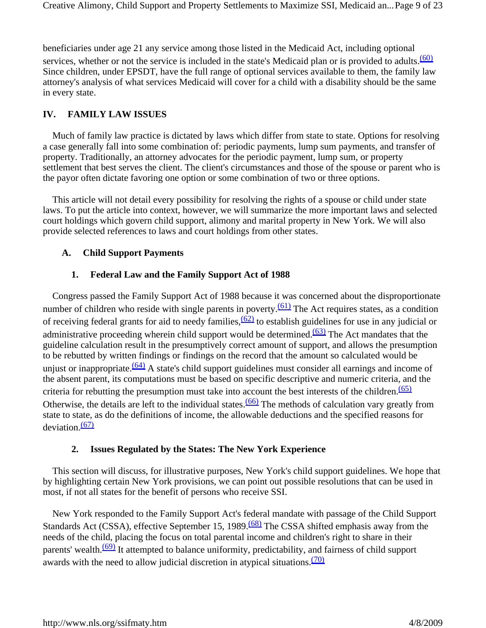beneficiaries under age 21 any service among those listed in the Medicaid Act, including optional services, whether or not the service is included in the state's Medicaid plan or is provided to adults. $\frac{(60)}{20}$ Since children, under EPSDT, have the full range of optional services available to them, the family law attorney's analysis of what services Medicaid will cover for a child with a disability should be the same in every state.

# **IV. FAMILY LAW ISSUES**

 Much of family law practice is dictated by laws which differ from state to state. Options for resolving a case generally fall into some combination of: periodic payments, lump sum payments, and transfer of property. Traditionally, an attorney advocates for the periodic payment, lump sum, or property settlement that best serves the client. The client's circumstances and those of the spouse or parent who is the payor often dictate favoring one option or some combination of two or three options.

 This article will not detail every possibility for resolving the rights of a spouse or child under state laws. To put the article into context, however, we will summarize the more important laws and selected court holdings which govern child support, alimony and marital property in New York. We will also provide selected references to laws and court holdings from other states.

# **A. Child Support Payments**

#### **1. Federal Law and the Family Support Act of 1988**

 Congress passed the Family Support Act of 1988 because it was concerned about the disproportionate number of children who reside with single parents in poverty. $(61)$  The Act requires states, as a condition of receiving federal grants for aid to needy families,  $\frac{(62)}{2}$  to establish guidelines for use in any judicial or administrative proceeding wherein child support would be determined.<sup>(63)</sup> The Act mandates that the guideline calculation result in the presumptively correct amount of support, and allows the presumption to be rebutted by written findings or findings on the record that the amount so calculated would be unjust or inappropriate. $\frac{(64)}{9}$  A state's child support guidelines must consider all earnings and income of the absent parent, its computations must be based on specific descriptive and numeric criteria, and the criteria for rebutting the presumption must take into account the best interests of the children. $(65)$ Otherwise, the details are left to the individual states.<sup>(66)</sup> The methods of calculation vary greatly from state to state, as do the definitions of income, the allowable deductions and the specified reasons for  $deviation$  $(67)$ 

#### **2. Issues Regulated by the States: The New York Experience**

 This section will discuss, for illustrative purposes, New York's child support guidelines. We hope that by highlighting certain New York provisions, we can point out possible resolutions that can be used in most, if not all states for the benefit of persons who receive SSI.

 New York responded to the Family Support Act's federal mandate with passage of the Child Support Standards Act (CSSA), effective September 15, 1989.<sup>(68)</sup> The CSSA shifted emphasis away from the needs of the child, placing the focus on total parental income and children's right to share in their parents' wealth.<sup>(69)</sup> It attempted to balance uniformity, predictability, and fairness of child support awards with the need to allow judicial discretion in atypical situations. $\frac{(70)}{20}$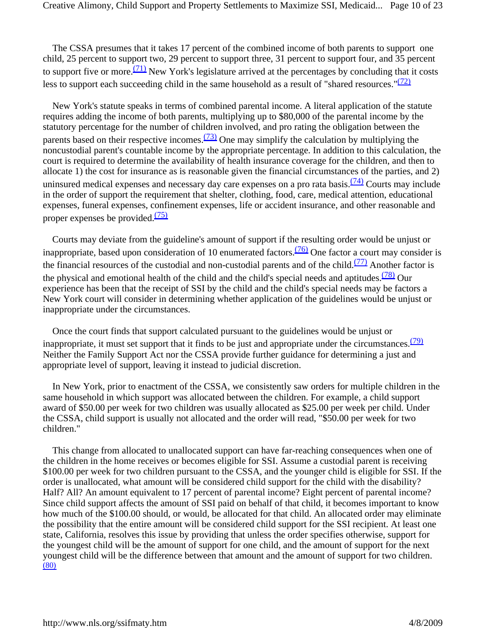The CSSA presumes that it takes 17 percent of the combined income of both parents to support one child, 25 percent to support two, 29 percent to support three, 31 percent to support four, and 35 percent to support five or more.<sup> $(71)$ </sup> New York's legislature arrived at the percentages by concluding that it costs less to support each succeeding child in the same household as a result of "shared resources." $(72)$ 

 New York's statute speaks in terms of combined parental income. A literal application of the statute requires adding the income of both parents, multiplying up to \$80,000 of the parental income by the statutory percentage for the number of children involved, and pro rating the obligation between the parents based on their respective incomes. $\frac{(73)}{20}$  One may simplify the calculation by multiplying the noncustodial parent's countable income by the appropriate percentage. In addition to this calculation, the court is required to determine the availability of health insurance coverage for the children, and then to allocate 1) the cost for insurance as is reasonable given the financial circumstances of the parties, and 2) uninsured medical expenses and necessary day care expenses on a pro rata basis.  $\frac{(74)}{(74)}$  Courts may include in the order of support the requirement that shelter, clothing, food, care, medical attention, educational expenses, funeral expenses, confinement expenses, life or accident insurance, and other reasonable and proper expenses be provided. $\frac{(75)}{2}$ 

 Courts may deviate from the guideline's amount of support if the resulting order would be unjust or inappropriate, based upon consideration of 10 enumerated factors. $(76)$  One factor a court may consider is the financial resources of the custodial and non-custodial parents and of the child. $(77)$  Another factor is the physical and emotional health of the child and the child's special needs and aptitudes. $\frac{(78)}{(78)}$  Our experience has been that the receipt of SSI by the child and the child's special needs may be factors a New York court will consider in determining whether application of the guidelines would be unjust or inappropriate under the circumstances.

 Once the court finds that support calculated pursuant to the guidelines would be unjust or inappropriate, it must set support that it finds to be just and appropriate under the circumstances. $(79)$ Neither the Family Support Act nor the CSSA provide further guidance for determining a just and appropriate level of support, leaving it instead to judicial discretion.

 In New York, prior to enactment of the CSSA, we consistently saw orders for multiple children in the same household in which support was allocated between the children. For example, a child support award of \$50.00 per week for two children was usually allocated as \$25.00 per week per child. Under the CSSA, child support is usually not allocated and the order will read, "\$50.00 per week for two children."

 This change from allocated to unallocated support can have far-reaching consequences when one of the children in the home receives or becomes eligible for SSI. Assume a custodial parent is receiving \$100.00 per week for two children pursuant to the CSSA, and the younger child is eligible for SSI. If the order is unallocated, what amount will be considered child support for the child with the disability? Half? All? An amount equivalent to 17 percent of parental income? Eight percent of parental income? Since child support affects the amount of SSI paid on behalf of that child, it becomes important to know how much of the \$100.00 should, or would, be allocated for that child. An allocated order may eliminate the possibility that the entire amount will be considered child support for the SSI recipient. At least one state, California, resolves this issue by providing that unless the order specifies otherwise, support for the youngest child will be the amount of support for one child, and the amount of support for the next youngest child will be the difference between that amount and the amount of support for two children. (80)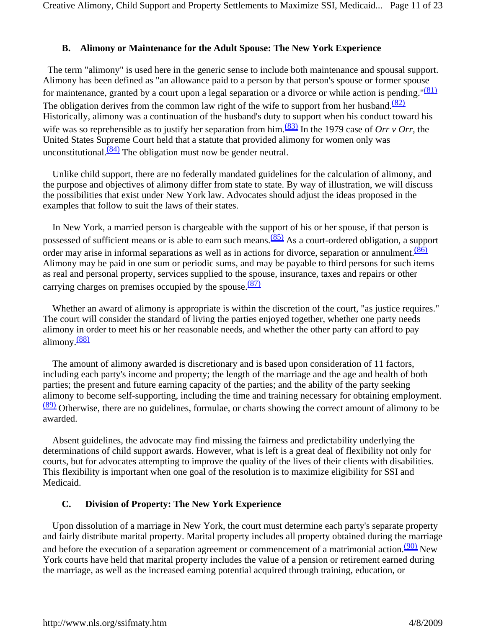#### **B. Alimony or Maintenance for the Adult Spouse: The New York Experience**

 The term "alimony" is used here in the generic sense to include both maintenance and spousal support. Alimony has been defined as "an allowance paid to a person by that person's spouse or former spouse for maintenance, granted by a court upon a legal separation or a divorce or while action is pending." $(81)$ The obligation derives from the common law right of the wife to support from her husband.<sup>(82)</sup> Historically, alimony was a continuation of the husband's duty to support when his conduct toward his wife was so reprehensible as to justify her separation from him.<sup>(83)</sup> In the 1979 case of *Orr v Orr*, the United States Supreme Court held that a statute that provided alimony for women only was unconstitutional. $\frac{(84)}{84}$  The obligation must now be gender neutral.

 Unlike child support, there are no federally mandated guidelines for the calculation of alimony, and the purpose and objectives of alimony differ from state to state. By way of illustration, we will discuss the possibilities that exist under New York law. Advocates should adjust the ideas proposed in the examples that follow to suit the laws of their states.

 In New York, a married person is chargeable with the support of his or her spouse, if that person is possessed of sufficient means or is able to earn such means. $\frac{(85)}{85}$  As a court-ordered obligation, a support order may arise in informal separations as well as in actions for divorce, separation or annulment.<sup>(86)</sup> Alimony may be paid in one sum or periodic sums, and may be payable to third persons for such items as real and personal property, services supplied to the spouse, insurance, taxes and repairs or other carrying charges on premises occupied by the spouse. $\frac{(87)}{2}$ 

 Whether an award of alimony is appropriate is within the discretion of the court, "as justice requires." The court will consider the standard of living the parties enjoyed together, whether one party needs alimony in order to meet his or her reasonable needs, and whether the other party can afford to pay alimony. $\frac{(88)}{8}$ 

 The amount of alimony awarded is discretionary and is based upon consideration of 11 factors, including each party's income and property; the length of the marriage and the age and health of both parties; the present and future earning capacity of the parties; and the ability of the party seeking alimony to become self-supporting, including the time and training necessary for obtaining employment.  $\frac{(89)}{890}$  Otherwise, there are no guidelines, formulae, or charts showing the correct amount of alimony to be awarded.

 Absent guidelines, the advocate may find missing the fairness and predictability underlying the determinations of child support awards. However, what is left is a great deal of flexibility not only for courts, but for advocates attempting to improve the quality of the lives of their clients with disabilities. This flexibility is important when one goal of the resolution is to maximize eligibility for SSI and Medicaid.

# **C. Division of Property: The New York Experience**

 Upon dissolution of a marriage in New York, the court must determine each party's separate property and fairly distribute marital property. Marital property includes all property obtained during the marriage and before the execution of a separation agreement or commencement of a matrimonial action.<sup>(90)</sup> New York courts have held that marital property includes the value of a pension or retirement earned during the marriage, as well as the increased earning potential acquired through training, education, or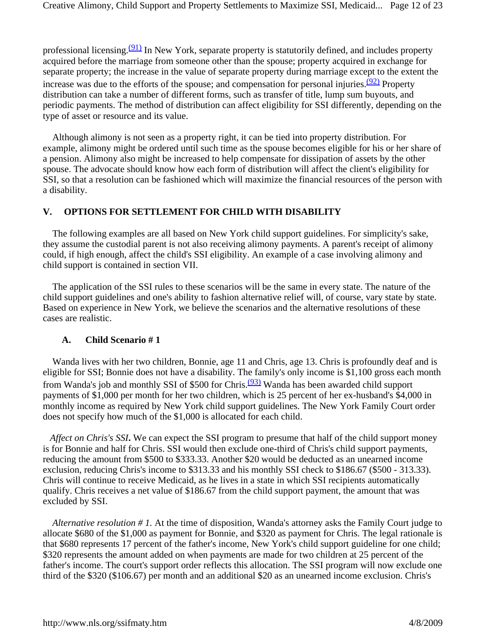professional licensing.  $\frac{(91)}{91}$  In New York, separate property is statutorily defined, and includes property acquired before the marriage from someone other than the spouse; property acquired in exchange for separate property; the increase in the value of separate property during marriage except to the extent the increase was due to the efforts of the spouse; and compensation for personal injuries. $\frac{(92)}{2}$  Property distribution can take a number of different forms, such as transfer of title, lump sum buyouts, and periodic payments. The method of distribution can affect eligibility for SSI differently, depending on the type of asset or resource and its value.

 Although alimony is not seen as a property right, it can be tied into property distribution. For example, alimony might be ordered until such time as the spouse becomes eligible for his or her share of a pension. Alimony also might be increased to help compensate for dissipation of assets by the other spouse. The advocate should know how each form of distribution will affect the client's eligibility for SSI, so that a resolution can be fashioned which will maximize the financial resources of the person with a disability.

#### **V. OPTIONS FOR SETTLEMENT FOR CHILD WITH DISABILITY**

 The following examples are all based on New York child support guidelines. For simplicity's sake, they assume the custodial parent is not also receiving alimony payments. A parent's receipt of alimony could, if high enough, affect the child's SSI eligibility. An example of a case involving alimony and child support is contained in section VII.

 The application of the SSI rules to these scenarios will be the same in every state. The nature of the child support guidelines and one's ability to fashion alternative relief will, of course, vary state by state. Based on experience in New York, we believe the scenarios and the alternative resolutions of these cases are realistic.

#### **A. Child Scenario # 1**

 Wanda lives with her two children, Bonnie, age 11 and Chris, age 13. Chris is profoundly deaf and is eligible for SSI; Bonnie does not have a disability. The family's only income is \$1,100 gross each month from Wanda's job and monthly SSI of \$500 for Chris.<sup>(93)</sup> Wanda has been awarded child support payments of \$1,000 per month for her two children, which is 25 percent of her ex-husband's \$4,000 in monthly income as required by New York child support guidelines. The New York Family Court order does not specify how much of the \$1,000 is allocated for each child.

 *Affect on Chris's SSI***.** We can expect the SSI program to presume that half of the child support money is for Bonnie and half for Chris. SSI would then exclude one-third of Chris's child support payments, reducing the amount from \$500 to \$333.33. Another \$20 would be deducted as an unearned income exclusion, reducing Chris's income to \$313.33 and his monthly SSI check to \$186.67 (\$500 - 313.33). Chris will continue to receive Medicaid, as he lives in a state in which SSI recipients automatically qualify. Chris receives a net value of \$186.67 from the child support payment, the amount that was excluded by SSI.

 *Alternative resolution # 1.* At the time of disposition, Wanda's attorney asks the Family Court judge to allocate \$680 of the \$1,000 as payment for Bonnie, and \$320 as payment for Chris. The legal rationale is that \$680 represents 17 percent of the father's income, New York's child support guideline for one child; \$320 represents the amount added on when payments are made for two children at 25 percent of the father's income. The court's support order reflects this allocation. The SSI program will now exclude one third of the \$320 (\$106.67) per month and an additional \$20 as an unearned income exclusion. Chris's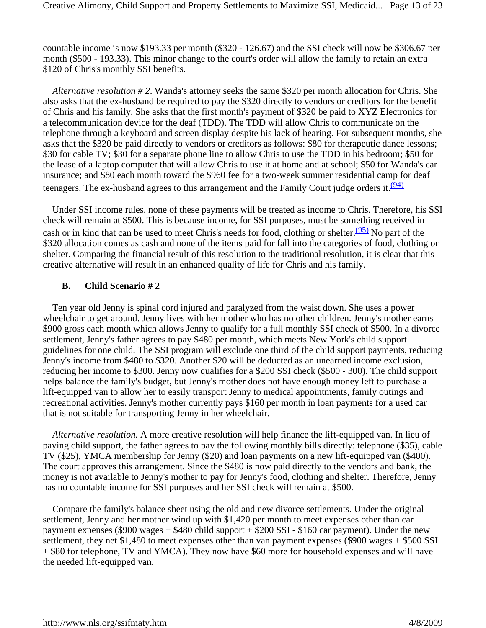countable income is now \$193.33 per month (\$320 - 126.67) and the SSI check will now be \$306.67 per month (\$500 - 193.33). This minor change to the court's order will allow the family to retain an extra \$120 of Chris's monthly SSI benefits.

 *Alternative resolution # 2*. Wanda's attorney seeks the same \$320 per month allocation for Chris. She also asks that the ex-husband be required to pay the \$320 directly to vendors or creditors for the benefit of Chris and his family. She asks that the first month's payment of \$320 be paid to XYZ Electronics for a telecommunication device for the deaf (TDD). The TDD will allow Chris to communicate on the telephone through a keyboard and screen display despite his lack of hearing. For subsequent months, she asks that the \$320 be paid directly to vendors or creditors as follows: \$80 for therapeutic dance lessons; \$30 for cable TV; \$30 for a separate phone line to allow Chris to use the TDD in his bedroom; \$50 for the lease of a laptop computer that will allow Chris to use it at home and at school; \$50 for Wanda's car insurance; and \$80 each month toward the \$960 fee for a two-week summer residential camp for deaf teenagers. The ex-husband agrees to this arrangement and the Family Court judge orders it.  $\frac{(94)}{24}$ 

 Under SSI income rules, none of these payments will be treated as income to Chris. Therefore, his SSI check will remain at \$500. This is because income, for SSI purposes, must be something received in cash or in kind that can be used to meet Chris's needs for food, clothing or shelter.<sup>(95)</sup> No part of the \$320 allocation comes as cash and none of the items paid for fall into the categories of food, clothing or shelter. Comparing the financial result of this resolution to the traditional resolution, it is clear that this creative alternative will result in an enhanced quality of life for Chris and his family.

#### **B. Child Scenario # 2**

 Ten year old Jenny is spinal cord injured and paralyzed from the waist down. She uses a power wheelchair to get around. Jenny lives with her mother who has no other children. Jenny's mother earns \$900 gross each month which allows Jenny to qualify for a full monthly SSI check of \$500. In a divorce settlement, Jenny's father agrees to pay \$480 per month, which meets New York's child support guidelines for one child. The SSI program will exclude one third of the child support payments, reducing Jenny's income from \$480 to \$320. Another \$20 will be deducted as an unearned income exclusion, reducing her income to \$300. Jenny now qualifies for a \$200 SSI check (\$500 - 300). The child support helps balance the family's budget, but Jenny's mother does not have enough money left to purchase a lift-equipped van to allow her to easily transport Jenny to medical appointments, family outings and recreational activities. Jenny's mother currently pays \$160 per month in loan payments for a used car that is not suitable for transporting Jenny in her wheelchair.

 *Alternative resolution.* A more creative resolution will help finance the lift-equipped van. In lieu of paying child support, the father agrees to pay the following monthly bills directly: telephone (\$35), cable TV (\$25), YMCA membership for Jenny (\$20) and loan payments on a new lift-equipped van (\$400). The court approves this arrangement. Since the \$480 is now paid directly to the vendors and bank, the money is not available to Jenny's mother to pay for Jenny's food, clothing and shelter. Therefore, Jenny has no countable income for SSI purposes and her SSI check will remain at \$500.

 Compare the family's balance sheet using the old and new divorce settlements. Under the original settlement, Jenny and her mother wind up with \$1,420 per month to meet expenses other than car payment expenses (\$900 wages + \$480 child support + \$200 SSI - \$160 car payment). Under the new settlement, they net \$1,480 to meet expenses other than van payment expenses (\$900 wages + \$500 SSI + \$80 for telephone, TV and YMCA). They now have \$60 more for household expenses and will have the needed lift-equipped van.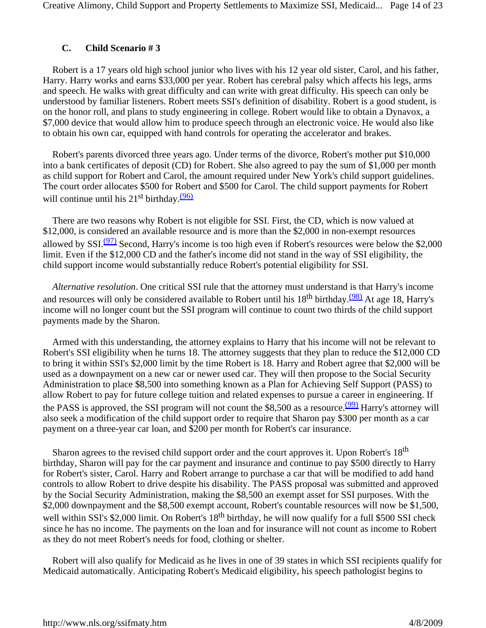# **C. Child Scenario # 3**

 Robert is a 17 years old high school junior who lives with his 12 year old sister, Carol, and his father, Harry. Harry works and earns \$33,000 per year. Robert has cerebral palsy which affects his legs, arms and speech. He walks with great difficulty and can write with great difficulty. His speech can only be understood by familiar listeners. Robert meets SSI's definition of disability. Robert is a good student, is on the honor roll, and plans to study engineering in college. Robert would like to obtain a Dynavox, a \$7,000 device that would allow him to produce speech through an electronic voice. He would also like to obtain his own car, equipped with hand controls for operating the accelerator and brakes.

 Robert's parents divorced three years ago. Under terms of the divorce, Robert's mother put \$10,000 into a bank certificates of deposit (CD) for Robert. She also agreed to pay the sum of \$1,000 per month as child support for Robert and Carol, the amount required under New York's child support guidelines. The court order allocates \$500 for Robert and \$500 for Carol. The child support payments for Robert will continue until his  $21<sup>st</sup>$  birthday.<sup>(96)</sup>

 There are two reasons why Robert is not eligible for SSI. First, the CD, which is now valued at \$12,000, is considered an available resource and is more than the \$2,000 in non-exempt resources allowed by SSI. $\frac{(97)}{25}$  Second, Harry's income is too high even if Robert's resources were below the \$2,000 limit. Even if the \$12,000 CD and the father's income did not stand in the way of SSI eligibility, the child support income would substantially reduce Robert's potential eligibility for SSI.

 *Alternative resolution*. One critical SSI rule that the attorney must understand is that Harry's income and resources will only be considered available to Robert until his  $18<sup>th</sup>$  birthday.<sup>(98)</sup> At age 18, Harry's income will no longer count but the SSI program will continue to count two thirds of the child support payments made by the Sharon.

 Armed with this understanding, the attorney explains to Harry that his income will not be relevant to Robert's SSI eligibility when he turns 18. The attorney suggests that they plan to reduce the \$12,000 CD to bring it within SSI's \$2,000 limit by the time Robert is 18. Harry and Robert agree that \$2,000 will be used as a downpayment on a new car or newer used car. They will then propose to the Social Security Administration to place \$8,500 into something known as a Plan for Achieving Self Support (PASS) to allow Robert to pay for future college tuition and related expenses to pursue a career in engineering. If the PASS is approved, the SSI program will not count the \$8,500 as a resource.<sup>(99)</sup> Harry's attorney will also seek a modification of the child support order to require that Sharon pay \$300 per month as a car payment on a three-year car loan, and \$200 per month for Robert's car insurance.

Sharon agrees to the revised child support order and the court approves it. Upon Robert's 18<sup>th</sup> birthday, Sharon will pay for the car payment and insurance and continue to pay \$500 directly to Harry for Robert's sister, Carol. Harry and Robert arrange to purchase a car that will be modified to add hand controls to allow Robert to drive despite his disability. The PASS proposal was submitted and approved by the Social Security Administration, making the \$8,500 an exempt asset for SSI purposes. With the \$2,000 downpayment and the \$8,500 exempt account, Robert's countable resources will now be \$1,500, well within SSI's \$2,000 limit. On Robert's 18<sup>th</sup> birthday, he will now qualify for a full \$500 SSI check since he has no income. The payments on the loan and for insurance will not count as income to Robert as they do not meet Robert's needs for food, clothing or shelter.

 Robert will also qualify for Medicaid as he lives in one of 39 states in which SSI recipients qualify for Medicaid automatically. Anticipating Robert's Medicaid eligibility, his speech pathologist begins to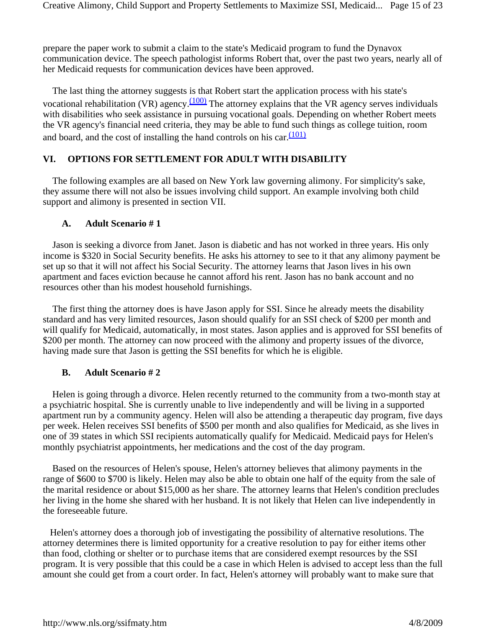prepare the paper work to submit a claim to the state's Medicaid program to fund the Dynavox communication device. The speech pathologist informs Robert that, over the past two years, nearly all of her Medicaid requests for communication devices have been approved.

 The last thing the attorney suggests is that Robert start the application process with his state's vocational rehabilitation (VR) agency. $(100)$  The attorney explains that the VR agency serves individuals with disabilities who seek assistance in pursuing vocational goals. Depending on whether Robert meets the VR agency's financial need criteria, they may be able to fund such things as college tuition, room and board, and the cost of installing the hand controls on his car. $\frac{(101)}{2}$ 

# **VI. OPTIONS FOR SETTLEMENT FOR ADULT WITH DISABILITY**

 The following examples are all based on New York law governing alimony. For simplicity's sake, they assume there will not also be issues involving child support. An example involving both child support and alimony is presented in section VII.

#### **A. Adult Scenario # 1**

 Jason is seeking a divorce from Janet. Jason is diabetic and has not worked in three years. His only income is \$320 in Social Security benefits. He asks his attorney to see to it that any alimony payment be set up so that it will not affect his Social Security. The attorney learns that Jason lives in his own apartment and faces eviction because he cannot afford his rent. Jason has no bank account and no resources other than his modest household furnishings.

 The first thing the attorney does is have Jason apply for SSI. Since he already meets the disability standard and has very limited resources, Jason should qualify for an SSI check of \$200 per month and will qualify for Medicaid, automatically, in most states. Jason applies and is approved for SSI benefits of \$200 per month. The attorney can now proceed with the alimony and property issues of the divorce, having made sure that Jason is getting the SSI benefits for which he is eligible.

# **B. Adult Scenario # 2**

 Helen is going through a divorce. Helen recently returned to the community from a two-month stay at a psychiatric hospital. She is currently unable to live independently and will be living in a supported apartment run by a community agency. Helen will also be attending a therapeutic day program, five days per week. Helen receives SSI benefits of \$500 per month and also qualifies for Medicaid, as she lives in one of 39 states in which SSI recipients automatically qualify for Medicaid. Medicaid pays for Helen's monthly psychiatrist appointments, her medications and the cost of the day program.

 Based on the resources of Helen's spouse, Helen's attorney believes that alimony payments in the range of \$600 to \$700 is likely. Helen may also be able to obtain one half of the equity from the sale of the marital residence or about \$15,000 as her share. The attorney learns that Helen's condition precludes her living in the home she shared with her husband. It is not likely that Helen can live independently in the foreseeable future.

 Helen's attorney does a thorough job of investigating the possibility of alternative resolutions. The attorney determines there is limited opportunity for a creative resolution to pay for either items other than food, clothing or shelter or to purchase items that are considered exempt resources by the SSI program. It is very possible that this could be a case in which Helen is advised to accept less than the full amount she could get from a court order. In fact, Helen's attorney will probably want to make sure that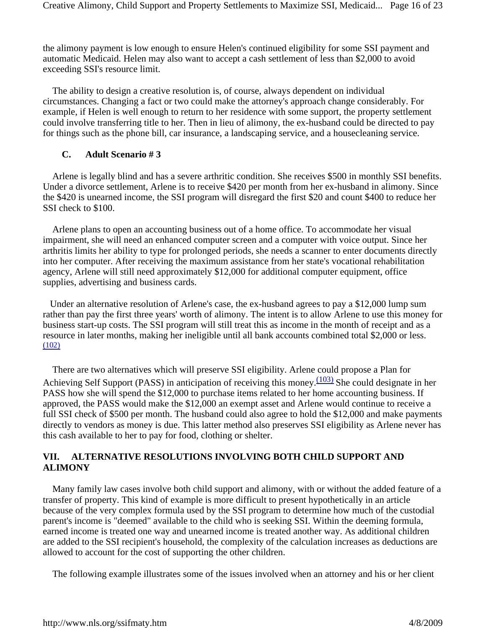the alimony payment is low enough to ensure Helen's continued eligibility for some SSI payment and automatic Medicaid. Helen may also want to accept a cash settlement of less than \$2,000 to avoid exceeding SSI's resource limit.

 The ability to design a creative resolution is, of course, always dependent on individual circumstances. Changing a fact or two could make the attorney's approach change considerably. For example, if Helen is well enough to return to her residence with some support, the property settlement could involve transferring title to her. Then in lieu of alimony, the ex-husband could be directed to pay for things such as the phone bill, car insurance, a landscaping service, and a housecleaning service.

#### **C. Adult Scenario # 3**

 Arlene is legally blind and has a severe arthritic condition. She receives \$500 in monthly SSI benefits. Under a divorce settlement, Arlene is to receive \$420 per month from her ex-husband in alimony. Since the \$420 is unearned income, the SSI program will disregard the first \$20 and count \$400 to reduce her SSI check to \$100.

 Arlene plans to open an accounting business out of a home office. To accommodate her visual impairment, she will need an enhanced computer screen and a computer with voice output. Since her arthritis limits her ability to type for prolonged periods, she needs a scanner to enter documents directly into her computer. After receiving the maximum assistance from her state's vocational rehabilitation agency, Arlene will still need approximately \$12,000 for additional computer equipment, office supplies, advertising and business cards.

 Under an alternative resolution of Arlene's case, the ex-husband agrees to pay a \$12,000 lump sum rather than pay the first three years' worth of alimony. The intent is to allow Arlene to use this money for business start-up costs. The SSI program will still treat this as income in the month of receipt and as a resource in later months, making her ineligible until all bank accounts combined total \$2,000 or less. (102)

 There are two alternatives which will preserve SSI eligibility. Arlene could propose a Plan for Achieving Self Support (PASS) in anticipation of receiving this money.<sup>(103)</sup> She could designate in her PASS how she will spend the \$12,000 to purchase items related to her home accounting business. If approved, the PASS would make the \$12,000 an exempt asset and Arlene would continue to receive a full SSI check of \$500 per month. The husband could also agree to hold the \$12,000 and make payments directly to vendors as money is due. This latter method also preserves SSI eligibility as Arlene never has this cash available to her to pay for food, clothing or shelter.

#### **VII. ALTERNATIVE RESOLUTIONS INVOLVING BOTH CHILD SUPPORT AND ALIMONY**

 Many family law cases involve both child support and alimony, with or without the added feature of a transfer of property. This kind of example is more difficult to present hypothetically in an article because of the very complex formula used by the SSI program to determine how much of the custodial parent's income is "deemed" available to the child who is seeking SSI. Within the deeming formula, earned income is treated one way and unearned income is treated another way. As additional children are added to the SSI recipient's household, the complexity of the calculation increases as deductions are allowed to account for the cost of supporting the other children.

The following example illustrates some of the issues involved when an attorney and his or her client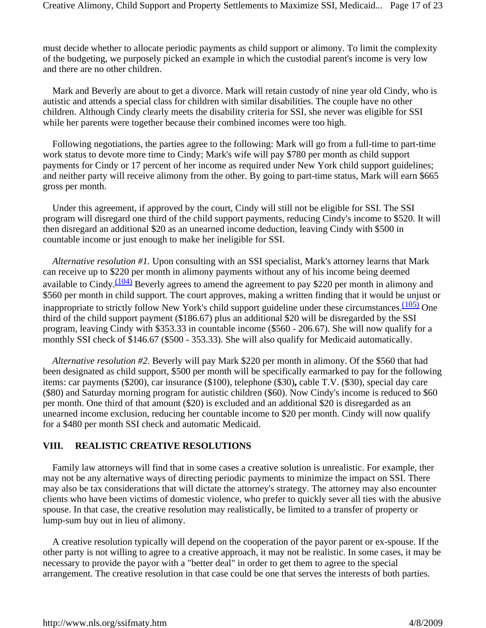must decide whether to allocate periodic payments as child support or alimony. To limit the complexity of the budgeting, we purposely picked an example in which the custodial parent's income is very low and there are no other children.

 Mark and Beverly are about to get a divorce. Mark will retain custody of nine year old Cindy, who is autistic and attends a special class for children with similar disabilities. The couple have no other children. Although Cindy clearly meets the disability criteria for SSI, she never was eligible for SSI while her parents were together because their combined incomes were too high.

 Following negotiations, the parties agree to the following: Mark will go from a full-time to part-time work status to devote more time to Cindy; Mark's wife will pay \$780 per month as child support payments for Cindy or 17 percent of her income as required under New York child support guidelines; and neither party will receive alimony from the other. By going to part-time status, Mark will earn \$665 gross per month.

 Under this agreement, if approved by the court, Cindy will still not be eligible for SSI. The SSI program will disregard one third of the child support payments, reducing Cindy's income to \$520. It will then disregard an additional \$20 as an unearned income deduction, leaving Cindy with \$500 in countable income or just enough to make her ineligible for SSI.

 *Alternative resolution #1.* Upon consulting with an SSI specialist, Mark's attorney learns that Mark can receive up to \$220 per month in alimony payments without any of his income being deemed available to Cindy.<sup>(104)</sup> Beverly agrees to amend the agreement to pay \$220 per month in alimony and \$560 per month in child support. The court approves, making a written finding that it would be unjust or inappropriate to strictly follow New York's child support guideline under these circumstances. $\frac{(105)}{2}$  One third of the child support payment (\$186.67) plus an additional \$20 will be disregarded by the SSI program, leaving Cindy with \$353.33 in countable income (\$560 - 206.67). She will now qualify for a monthly SSI check of \$146.67 (\$500 - 353.33). She will also qualify for Medicaid automatically.

 *Alternative resolution #2*. Beverly will pay Mark \$220 per month in alimony. Of the \$560 that had been designated as child support, \$500 per month will be specifically earmarked to pay for the following items: car payments (\$200), car insurance (\$100), telephone (\$30)**,** cable T.V. (\$30), special day care (\$80) and Saturday morning program for autistic children (\$60). Now Cindy's income is reduced to \$60 per month. One third of that amount (\$20) is excluded and an additional \$20 is disregarded as an unearned income exclusion, reducing her countable income to \$20 per month. Cindy will now qualify for a \$480 per month SSI check and automatic Medicaid.

# **VIII. REALISTIC CREATIVE RESOLUTIONS**

 Family law attorneys will find that in some cases a creative solution is unrealistic. For example, ther may not be any alternative ways of directing periodic payments to minimize the impact on SSI. There may also be tax considerations that will dictate the attorney's strategy. The attorney may also encounter clients who have been victims of domestic violence, who prefer to quickly sever all ties with the abusive spouse. In that case, the creative resolution may realistically, be limited to a transfer of property or lump-sum buy out in lieu of alimony.

 A creative resolution typically will depend on the cooperation of the payor parent or ex-spouse. If the other party is not willing to agree to a creative approach, it may not be realistic. In some cases, it may be necessary to provide the payor with a "better deal" in order to get them to agree to the special arrangement. The creative resolution in that case could be one that serves the interests of both parties.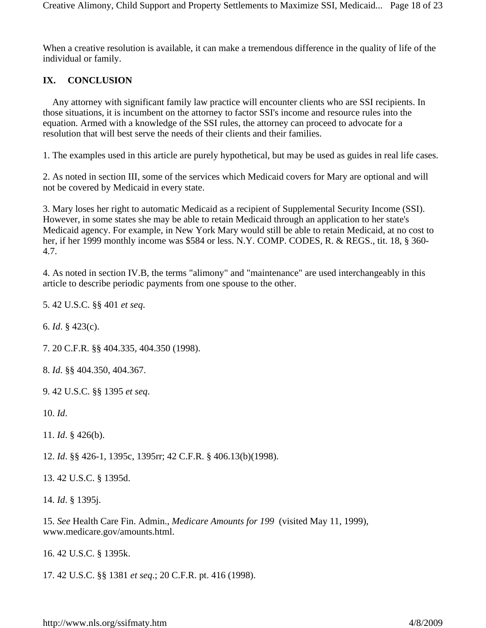When a creative resolution is available, it can make a tremendous difference in the quality of life of the individual or family.

# **IX. CONCLUSION**

 Any attorney with significant family law practice will encounter clients who are SSI recipients. In those situations, it is incumbent on the attorney to factor SSI's income and resource rules into the equation. Armed with a knowledge of the SSI rules, the attorney can proceed to advocate for a resolution that will best serve the needs of their clients and their families.

1. The examples used in this article are purely hypothetical, but may be used as guides in real life cases.

2. As noted in section III, some of the services which Medicaid covers for Mary are optional and will not be covered by Medicaid in every state.

3. Mary loses her right to automatic Medicaid as a recipient of Supplemental Security Income (SSI). However, in some states she may be able to retain Medicaid through an application to her state's Medicaid agency. For example, in New York Mary would still be able to retain Medicaid, at no cost to her, if her 1999 monthly income was \$584 or less. N.Y. COMP. CODES, R. & REGS., tit. 18, § 360- 4.7.

4. As noted in section IV.B, the terms "alimony" and "maintenance" are used interchangeably in this article to describe periodic payments from one spouse to the other.

5. 42 U.S.C. §§ 401 *et seq*.

6. *Id*. § 423(c).

7. 20 C.F.R. §§ 404.335, 404.350 (1998).

8. *Id*. §§ 404.350, 404.367.

9. 42 U.S.C. §§ 1395 *et seq*.

10. *Id*.

11. *Id*. § 426(b).

12. *Id*. §§ 426-1, 1395c, 1395rr; 42 C.F.R. § 406.13(b)(1998).

13. 42 U.S.C. § 1395d.

14. *Id*. § 1395j.

15. *See* Health Care Fin. Admin., *Medicare Amounts for 199* (visited May 11, 1999), www.medicare.gov/amounts.html.

16. 42 U.S.C. § 1395k.

17. 42 U.S.C. §§ 1381 *et seq*.; 20 C.F.R. pt. 416 (1998).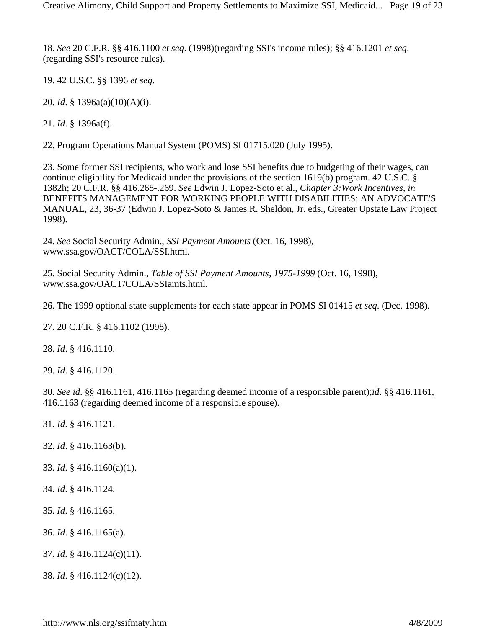18. *See* 20 C.F.R. §§ 416.1100 *et seq*. (1998)(regarding SSI's income rules); §§ 416.1201 *et seq*. (regarding SSI's resource rules).

19. 42 U.S.C. §§ 1396 *et seq*.

20. *Id*. § 1396a(a)(10)(A)(i).

21. *Id*. § 1396a(f).

22. Program Operations Manual System (POMS) SI 01715.020 (July 1995).

23. Some former SSI recipients, who work and lose SSI benefits due to budgeting of their wages, can continue eligibility for Medicaid under the provisions of the section 1619(b) program. 42 U.S.C. § 1382h; 20 C.F.R. §§ 416.268-.269. *See* Edwin J. Lopez-Soto et al., *Chapter 3:Work Incentives, in*  BENEFITS MANAGEMENT FOR WORKING PEOPLE WITH DISABILITIES: AN ADVOCATE'S MANUAL, 23, 36-37 (Edwin J. Lopez-Soto & James R. Sheldon, Jr. eds., Greater Upstate Law Project 1998).

24. *See* Social Security Admin., *SSI Payment Amounts* (Oct. 16, 1998), www.ssa.gov/OACT/COLA/SSI.html.

25. Social Security Admin., *Table of SSI Payment Amounts, 1975-1999* (Oct. 16, 1998), www.ssa.gov/OACT/COLA/SSIamts.html.

26. The 1999 optional state supplements for each state appear in POMS SI 01415 *et seq*. (Dec. 1998).

27. 20 C.F.R. § 416.1102 (1998).

28. *Id*. § 416.1110.

29. *Id*. § 416.1120.

30. *See id*. §§ 416.1161, 416.1165 (regarding deemed income of a responsible parent);*id*. §§ 416.1161, 416.1163 (regarding deemed income of a responsible spouse).

31. *Id*. § 416.1121.

32. *Id*. § 416.1163(b).

33. *Id*. § 416.1160(a)(1).

34. *Id*. § 416.1124.

35. *Id*. § 416.1165.

36. *Id*. § 416.1165(a).

37. *Id*. § 416.1124(c)(11).

38. *Id*. § 416.1124(c)(12).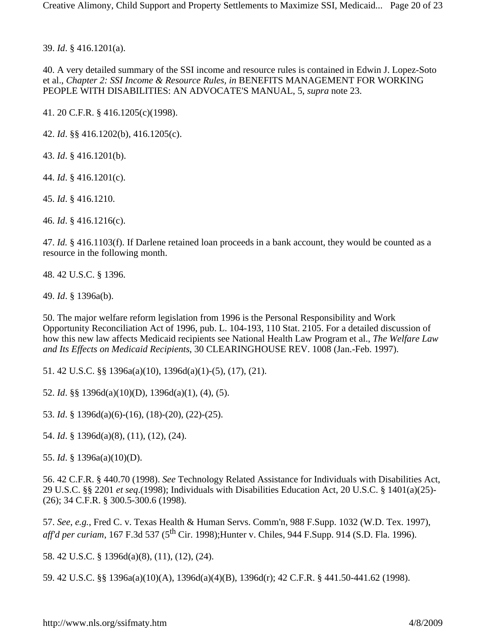39. *Id*. § 416.1201(a).

40. A very detailed summary of the SSI income and resource rules is contained in Edwin J. Lopez-Soto et al., *Chapter 2: SSI Income & Resource Rules, in* BENEFITS MANAGEMENT FOR WORKING PEOPLE WITH DISABILITIES: AN ADVOCATE'S MANUAL, 5, *supra* note 23.

41. 20 C.F.R. § 416.1205(c)(1998).

42. *Id*. §§ 416.1202(b), 416.1205(c).

43. *Id*. § 416.1201(b).

44. *Id*. § 416.1201(c).

45. *Id*. § 416.1210.

46. *Id*. § 416.1216(c).

47. *Id.* § 416.1103(f). If Darlene retained loan proceeds in a bank account, they would be counted as a resource in the following month.

48. 42 U.S.C. § 1396.

49. *Id*. § 1396a(b).

50. The major welfare reform legislation from 1996 is the Personal Responsibility and Work Opportunity Reconciliation Act of 1996, pub. L. 104-193, 110 Stat. 2105. For a detailed discussion of how this new law affects Medicaid recipients see National Health Law Program et al., *The Welfare Law and Its Effects on Medicaid Recipients*, 30 CLEARINGHOUSE REV. 1008 (Jan.-Feb. 1997).

51. 42 U.S.C. §§ 1396a(a)(10), 1396d(a)(1)-(5), (17), (21).

52. *Id*. §§ 1396d(a)(10)(D), 1396d(a)(1), (4), (5).

53. *Id*. § 1396d(a)(6)-(16), (18)-(20), (22)-(25).

54. *Id*. § 1396d(a)(8), (11), (12), (24).

55. *Id*. § 1396a(a)(10)(D).

56. 42 C.F.R. § 440.70 (1998). *See* Technology Related Assistance for Individuals with Disabilities Act, 29 U.S.C. §§ 2201 *et seq*.(1998); Individuals with Disabilities Education Act, 20 U.S.C. § 1401(a)(25)- (26); 34 C.F.R. § 300.5-300.6 (1998).

57. *See*, *e.g.*, Fred C. v. Texas Health & Human Servs. Comm'n, 988 F.Supp. 1032 (W.D. Tex. 1997), *aff'd per curiam*, 167 F.3d 537 (5<sup>th</sup> Cir. 1998); Hunter v. Chiles, 944 F. Supp. 914 (S.D. Fla. 1996).

58. 42 U.S.C. § 1396d(a)(8), (11), (12), (24).

59. 42 U.S.C. §§ 1396a(a)(10)(A), 1396d(a)(4)(B), 1396d(r); 42 C.F.R. § 441.50-441.62 (1998).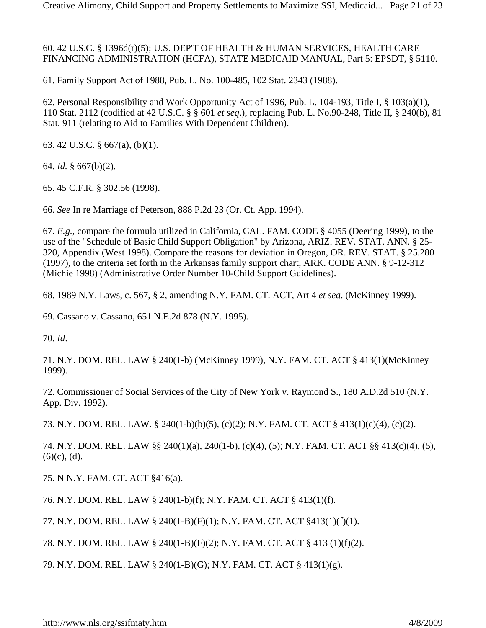#### 60. 42 U.S.C. § 1396d(r)(5); U.S. DEP'T OF HEALTH & HUMAN SERVICES, HEALTH CARE FINANCING ADMINISTRATION (HCFA), STATE MEDICAID MANUAL, Part 5: EPSDT, § 5110.

61. Family Support Act of 1988, Pub. L. No. 100-485, 102 Stat. 2343 (1988).

62. Personal Responsibility and Work Opportunity Act of 1996, Pub. L. 104-193, Title I, § 103(a)(1), 110 Stat. 2112 (codified at 42 U.S.C. § § 601 *et seq*.), replacing Pub. L. No.90-248, Title II, § 240(b), 81 Stat. 911 (relating to Aid to Families With Dependent Children).

63. 42 U.S.C. § 667(a), (b)(1).

64. *Id.* § 667(b)(2).

65. 45 C.F.R. § 302.56 (1998).

66. *See* In re Marriage of Peterson, 888 P.2d 23 (Or. Ct. App. 1994).

67. *E.g.*, compare the formula utilized in California, CAL. FAM. CODE § 4055 (Deering 1999), to the use of the "Schedule of Basic Child Support Obligation" by Arizona, ARIZ. REV. STAT. ANN. § 25- 320, Appendix (West 1998). Compare the reasons for deviation in Oregon, OR. REV. STAT. § 25.280 (1997), to the criteria set forth in the Arkansas family support chart, ARK. CODE ANN. § 9-12-312 (Michie 1998) (Administrative Order Number 10-Child Support Guidelines).

68. 1989 N.Y. Laws, c. 567, § 2, amending N.Y. FAM. CT. ACT, Art 4 *et seq*. (McKinney 1999).

69. Cassano v. Cassano, 651 N.E.2d 878 (N.Y. 1995).

70. *Id*.

71. N.Y. DOM. REL. LAW § 240(1-b) (McKinney 1999), N.Y. FAM. CT. ACT § 413(1)(McKinney 1999).

72. Commissioner of Social Services of the City of New York v. Raymond S., 180 A.D.2d 510 (N.Y. App. Div. 1992).

73. N.Y. DOM. REL. LAW. § 240(1-b)(b)(5), (c)(2); N.Y. FAM. CT. ACT § 413(1)(c)(4), (c)(2).

74. N.Y. DOM. REL. LAW §§ 240(1)(a), 240(1-b), (c)(4), (5); N.Y. FAM. CT. ACT §§ 413(c)(4), (5),  $(6)(c)$ ,  $(d)$ .

75. N N.Y. FAM. CT. ACT §416(a).

76. N.Y. DOM. REL. LAW § 240(1-b)(f); N.Y. FAM. CT. ACT § 413(1)(f).

77. N.Y. DOM. REL. LAW § 240(1-B)(F)(1); N.Y. FAM. CT. ACT §413(1)(f)(1).

78. N.Y. DOM. REL. LAW § 240(1-B)(F)(2); N.Y. FAM. CT. ACT § 413 (1)(f)(2).

79. N.Y. DOM. REL. LAW § 240(1-B)(G); N.Y. FAM. CT. ACT § 413(1)(g).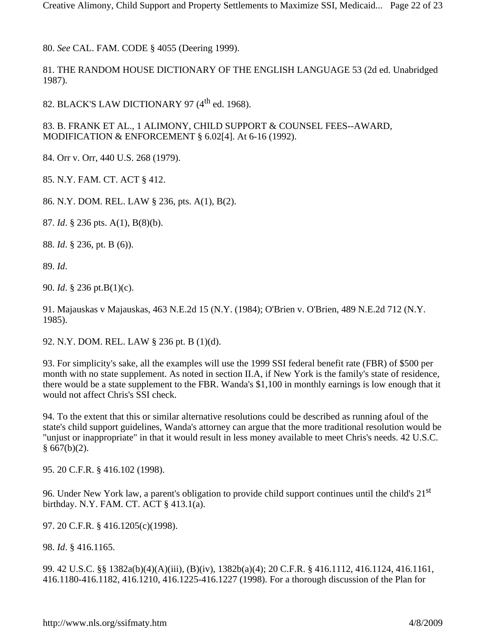80. *See* CAL. FAM. CODE § 4055 (Deering 1999).

81. THE RANDOM HOUSE DICTIONARY OF THE ENGLISH LANGUAGE 53 (2d ed. Unabridged 1987).

82. BLACK'S LAW DICTIONARY 97 (4<sup>th</sup> ed. 1968).

83. B. FRANK ET AL., 1 ALIMONY, CHILD SUPPORT & COUNSEL FEES--AWARD, MODIFICATION & ENFORCEMENT § 6.02[4]. At 6-16 (1992).

84. Orr v. Orr, 440 U.S. 268 (1979).

85. N.Y. FAM. CT. ACT § 412.

86. N.Y. DOM. REL. LAW § 236, pts. A(1), B(2).

87. *Id*. § 236 pts. A(1), B(8)(b).

88. *Id*. § 236, pt. B (6)).

89. *Id*.

90. *Id*. § 236 pt.B(1)(c).

91. Majauskas v Majauskas, 463 N.E.2d 15 (N.Y. (1984); O'Brien v. O'Brien, 489 N.E.2d 712 (N.Y. 1985).

92. N.Y. DOM. REL. LAW § 236 pt. B (1)(d).

93. For simplicity's sake, all the examples will use the 1999 SSI federal benefit rate (FBR) of \$500 per month with no state supplement. As noted in section II.A, if New York is the family's state of residence, there would be a state supplement to the FBR. Wanda's \$1,100 in monthly earnings is low enough that it would not affect Chris's SSI check.

94. To the extent that this or similar alternative resolutions could be described as running afoul of the state's child support guidelines, Wanda's attorney can argue that the more traditional resolution would be "unjust or inappropriate" in that it would result in less money available to meet Chris's needs. 42 U.S.C.  $§ 667(b)(2).$ 

95. 20 C.F.R. § 416.102 (1998).

96. Under New York law, a parent's obligation to provide child support continues until the child's  $21<sup>st</sup>$ birthday. N.Y. FAM. CT. ACT § 413.1(a).

97. 20 C.F.R. § 416.1205(c)(1998).

98. *Id*. § 416.1165.

99. 42 U.S.C. §§ 1382a(b)(4)(A)(iii), (B)(iv), 1382b(a)(4); 20 C.F.R. § 416.1112, 416.1124, 416.1161, 416.1180-416.1182, 416.1210, 416.1225-416.1227 (1998). For a thorough discussion of the Plan for